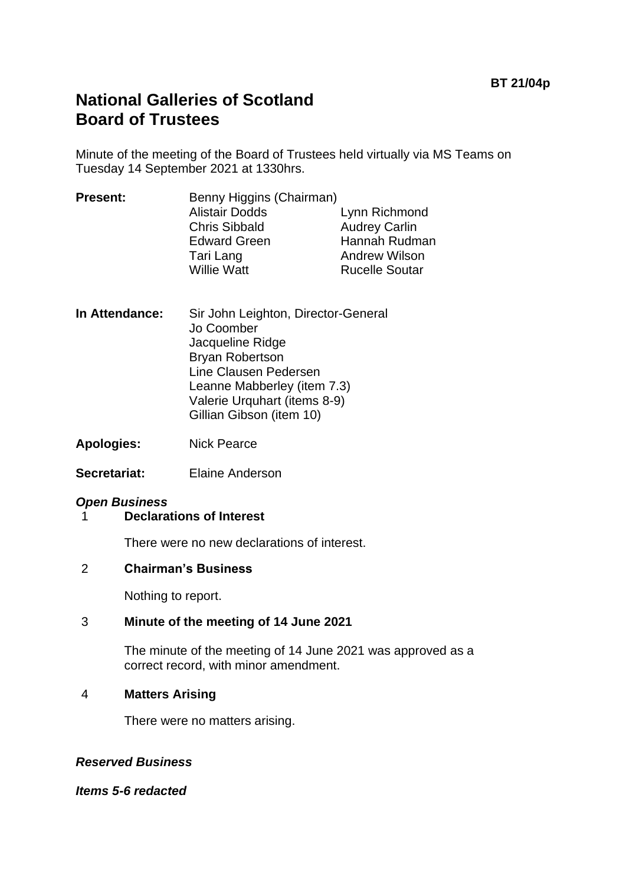# **National Galleries of Scotland Board of Trustees**

Minute of the meeting of the Board of Trustees held virtually via MS Teams on Tuesday 14 September 2021 at 1330hrs.

| <b>Present:</b> | Benny Higgins (Chairman) |                       |
|-----------------|--------------------------|-----------------------|
|                 | <b>Alistair Dodds</b>    | Lynn Richmond         |
|                 | <b>Chris Sibbald</b>     | <b>Audrey Carlin</b>  |
|                 | <b>Edward Green</b>      | Hannah Rudman         |
|                 | Tari Lang                | <b>Andrew Wilson</b>  |
|                 | <b>Willie Watt</b>       | <b>Rucelle Soutar</b> |
|                 |                          |                       |

- **In Attendance:** Sir John Leighton, Director-General Jo Coomber Jacqueline Ridge Bryan Robertson Line Clausen Pedersen Leanne Mabberley (item 7.3) Valerie Urquhart (items 8-9) Gillian Gibson (item 10)
- **Apologies:** Nick Pearce
- **Secretariat:** Elaine Anderson

# *Open Business*

1 **Declarations of Interest**

There were no new declarations of interest.

#### 2 **Chairman's Business**

Nothing to report.

# 3 **Minute of the meeting of 14 June 2021**

The minute of the meeting of 14 June 2021 was approved as a correct record, with minor amendment.

#### 4 **Matters Arising**

There were no matters arising.

# *Reserved Business*

*Items 5-6 redacted*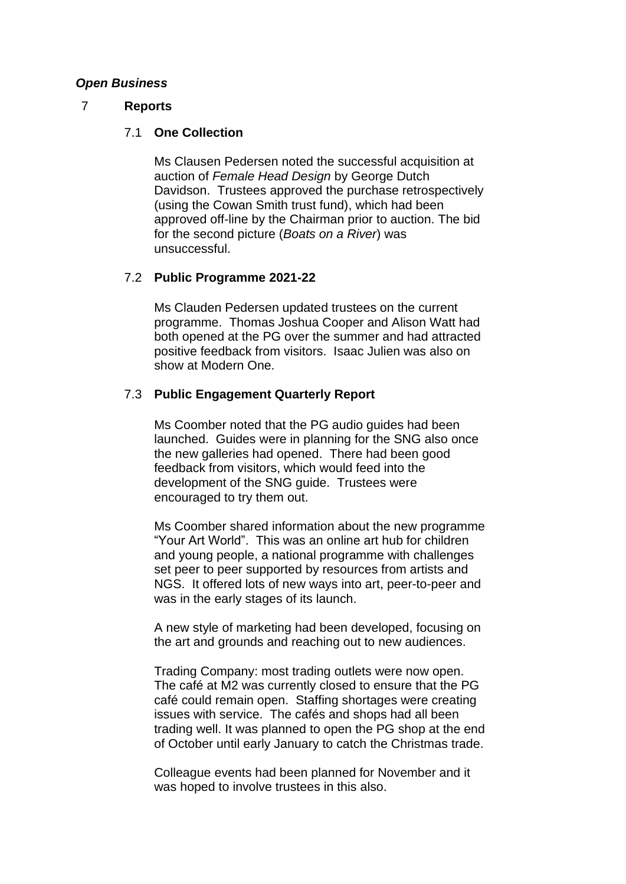#### *Open Business*

#### 7 **Reports**

## 7.1 **One Collection**

Ms Clausen Pedersen noted the successful acquisition at auction of *Female Head Design* by George Dutch Davidson. Trustees approved the purchase retrospectively (using the Cowan Smith trust fund), which had been approved off-line by the Chairman prior to auction. The bid for the second picture (*Boats on a River*) was unsuccessful.

# 7.2 **Public Programme 2021-22**

Ms Clauden Pedersen updated trustees on the current programme. Thomas Joshua Cooper and Alison Watt had both opened at the PG over the summer and had attracted positive feedback from visitors. Isaac Julien was also on show at Modern One.

# 7.3 **Public Engagement Quarterly Report**

Ms Coomber noted that the PG audio guides had been launched. Guides were in planning for the SNG also once the new galleries had opened. There had been good feedback from visitors, which would feed into the development of the SNG guide. Trustees were encouraged to try them out.

Ms Coomber shared information about the new programme "Your Art World". This was an online art hub for children and young people, a national programme with challenges set peer to peer supported by resources from artists and NGS. It offered lots of new ways into art, peer-to-peer and was in the early stages of its launch.

A new style of marketing had been developed, focusing on the art and grounds and reaching out to new audiences.

Trading Company: most trading outlets were now open. The café at M2 was currently closed to ensure that the PG café could remain open. Staffing shortages were creating issues with service. The cafés and shops had all been trading well. It was planned to open the PG shop at the end of October until early January to catch the Christmas trade.

Colleague events had been planned for November and it was hoped to involve trustees in this also.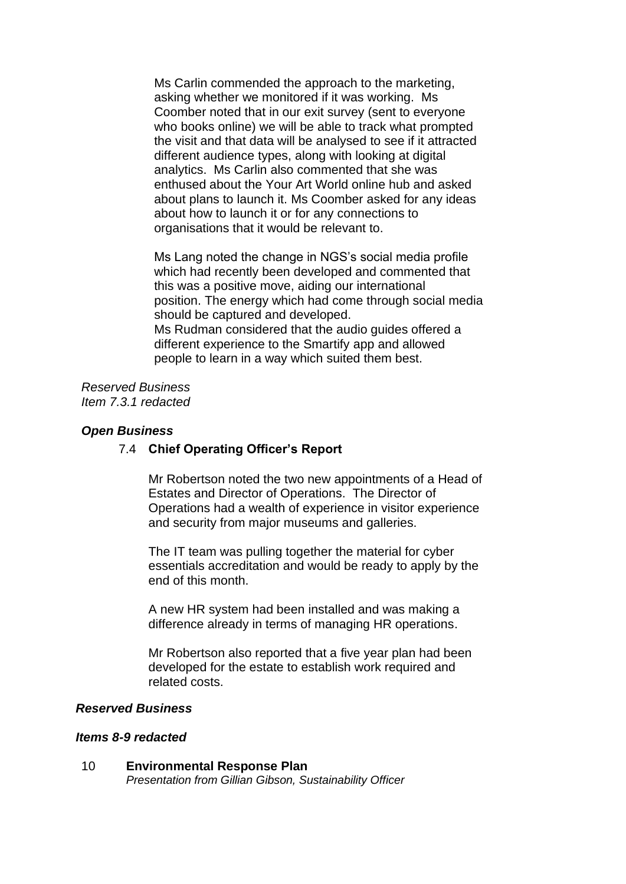Ms Carlin commended the approach to the marketing, asking whether we monitored if it was working. Ms Coomber noted that in our exit survey (sent to everyone who books online) we will be able to track what prompted the visit and that data will be analysed to see if it attracted different audience types, along with looking at digital analytics. Ms Carlin also commented that she was enthused about the Your Art World online hub and asked about plans to launch it. Ms Coomber asked for any ideas about how to launch it or for any connections to organisations that it would be relevant to.

Ms Lang noted the change in NGS's social media profile which had recently been developed and commented that this was a positive move, aiding our international position. The energy which had come through social media should be captured and developed. Ms Rudman considered that the audio guides offered a different experience to the Smartify app and allowed people to learn in a way which suited them best.

*Reserved Business Item 7.3.1 redacted*

#### *Open Business*

#### 7.4 **Chief Operating Officer's Report**

Mr Robertson noted the two new appointments of a Head of Estates and Director of Operations. The Director of Operations had a wealth of experience in visitor experience and security from major museums and galleries.

The IT team was pulling together the material for cyber essentials accreditation and would be ready to apply by the end of this month.

A new HR system had been installed and was making a difference already in terms of managing HR operations.

Mr Robertson also reported that a five year plan had been developed for the estate to establish work required and related costs.

## *Reserved Business*

#### *Items 8-9 redacted*

10 **Environmental Response Plan** *Presentation from Gillian Gibson, Sustainability Officer*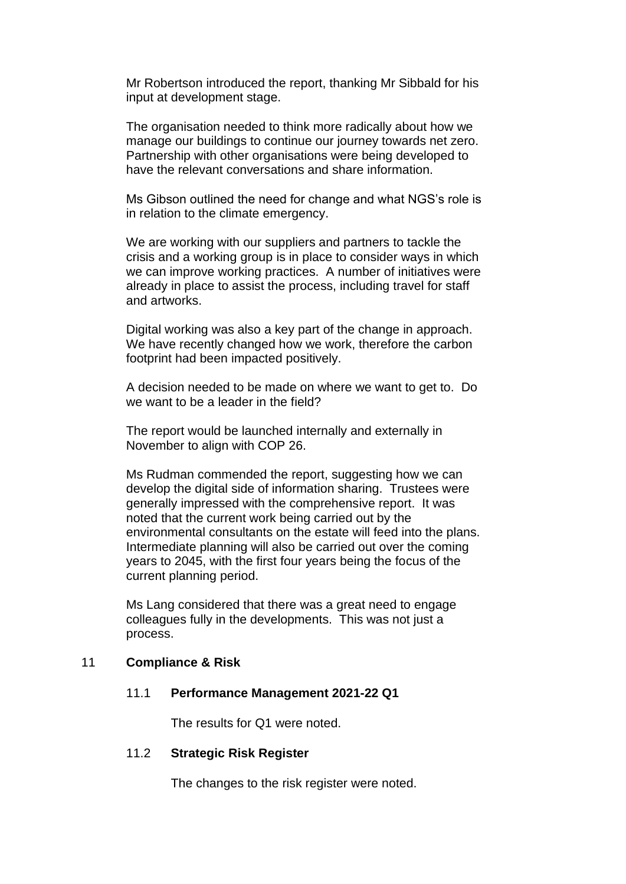Mr Robertson introduced the report, thanking Mr Sibbald for his input at development stage.

The organisation needed to think more radically about how we manage our buildings to continue our journey towards net zero. Partnership with other organisations were being developed to have the relevant conversations and share information.

Ms Gibson outlined the need for change and what NGS's role is in relation to the climate emergency.

We are working with our suppliers and partners to tackle the crisis and a working group is in place to consider ways in which we can improve working practices. A number of initiatives were already in place to assist the process, including travel for staff and artworks.

Digital working was also a key part of the change in approach. We have recently changed how we work, therefore the carbon footprint had been impacted positively.

A decision needed to be made on where we want to get to. Do we want to be a leader in the field?

The report would be launched internally and externally in November to align with COP 26.

Ms Rudman commended the report, suggesting how we can develop the digital side of information sharing. Trustees were generally impressed with the comprehensive report. It was noted that the current work being carried out by the environmental consultants on the estate will feed into the plans. Intermediate planning will also be carried out over the coming years to 2045, with the first four years being the focus of the current planning period.

Ms Lang considered that there was a great need to engage colleagues fully in the developments. This was not just a process.

#### 11 **Compliance & Risk**

#### 11.1 **Performance Management 2021-22 Q1**

The results for Q1 were noted.

#### 11.2 **Strategic Risk Register**

The changes to the risk register were noted.